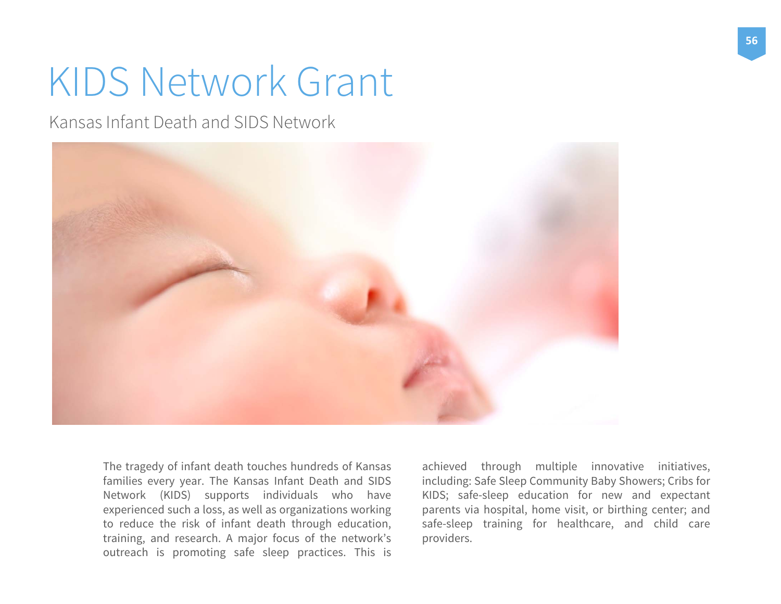# KIDS Network Grant

Kansas Infant Death and SIDS Network



The tragedy of infant death touches hundreds of Kansas families every year. The Kansas Infant Death and SIDS Network (KIDS) supports individuals who have experienced such <sup>a</sup> loss, as well as organizations working to reduce the risk of infant death through education, training, and research. <sup>A</sup> major focus of the network's outreach is promoting safe sleep practices. This is

achieved through multiple innovative initiatives, including: Safe Sleep Community Baby Showers; Cribs for KIDS; safe-sleep education for new and expectant parents via hospital, home visit, or birthing center; and safe-sleep training for healthcare, and child care providers.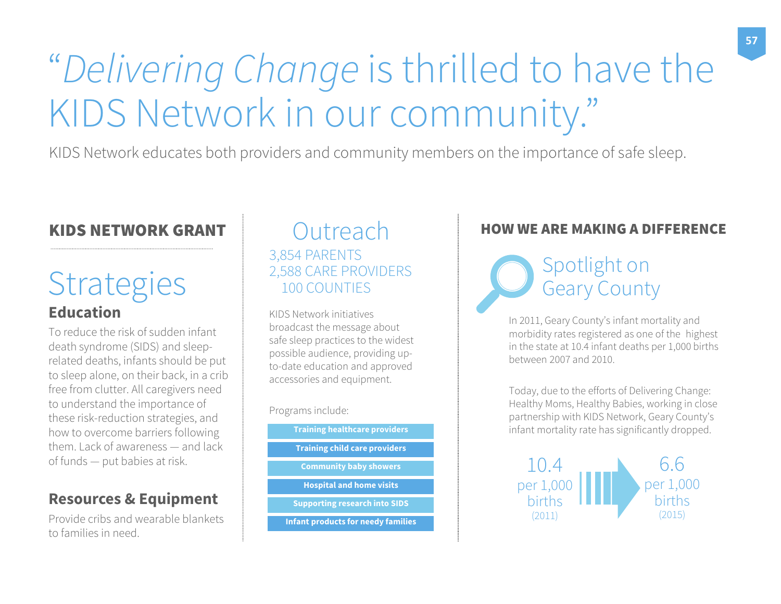# "Delivering Change is thrilled to have the KIDS Network in our community."

KIDS Network educates both providers and community members on the importance of safe sleep.

### KIDS NETWORK GRANT

## **EducationStrategies**

To reduce the risk of sudden infant death syndrome (SIDS) and sleeprelated deaths, infants should be put to sleep alone, on their back, in a crib free from clutter. All caregivers need to understand the importance of these risk-reduction strategies, and how to overcome barriers following them. Lack of awareness — and lack of funds — put babies at risk.

### **Resources & Equipment**

Provide cribs and wearable blankets to families in need.

### **Outreach** 3,854 PARENTS 2,588 CARE PROVIDERS 100 COUNTIES

KIDS Network initiatives broadcast the message about safe sleep practices to the widest possible audience, providing upto-date education and approved accessories and equipment.

Programs include:

**Training healthcare providers Training child care providers Community baby showers Hospital and home visits Supporting research into SIDS Infant products for needy families**

### HOW WE ARE MAKING A DIFFERENCE

Spotlight on Geary County

In 2011, Geary County's infant mortality and morbidity rates registered as one of the highest in the state at 10.4 infant deaths per 1,000 births between 2007 and 2010.

Today, due to the efforts of Delivering Change: Healthy Moms, Healthy Babies, working in close partnership with KIDS Network, Geary County's infant mortality rate has significantly dropped.

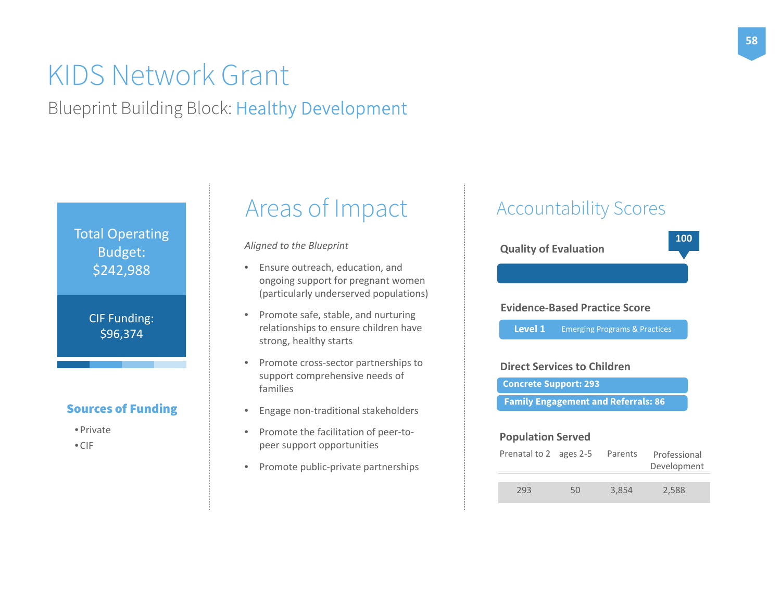## KIDS Network Grant

Blueprint Building Block: Healthy Development

Total Operating Budget: \$242,988

> CIF Funding: \$96,374

### Sources of Funding

- Private
- CIF

## Areas of Impact

*Aligned to the Blueprint*

- Ensure outreach, education, and ongoing support for pregnant women (particularly underserved populations)
- Promote safe, stable, and nurturing relationships to ensure children have strong, healthy starts
- Promote cross‐sector partnerships to support comprehensive needs of families
- •Engage non‐traditional stakeholders
- •● Promote the facilitation of peer-topeer support opportunities
- $\bullet$ ● Promote public-private partnerships

## Accountability Scores

**Quality of Evaluation**

#### **Evidence‐Based Practice Score**

Emerging Programs & Practices **Level 1**

#### **Direct Services to Children**

**Concrete Support: 293**

**Family Engagement and Referrals: 86**

#### **Population Served**

| Prenatal to 2 ages 2-5 |    | Parents | Professional<br>Development |
|------------------------|----|---------|-----------------------------|
| 293                    | 50 | 3.854   | 2,588                       |

**100**